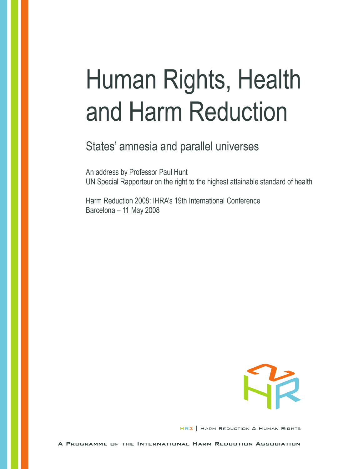# Human Rights, Health and Harm Reduction

## States' amnesia and parallel universes

An address by Professor Paul Hunt UN Special Rapporteur on the right to the highest attainable standard of health

Harm Reduction 2008: IHRA's 19th International Conference Barcelona - 11 May 2008



HR2 | HARM REDUCTION & HUMAN RIGHTS

A PROGRAMME OF THE INTERNATIONAL HARM REDUCTION ASSOCIATION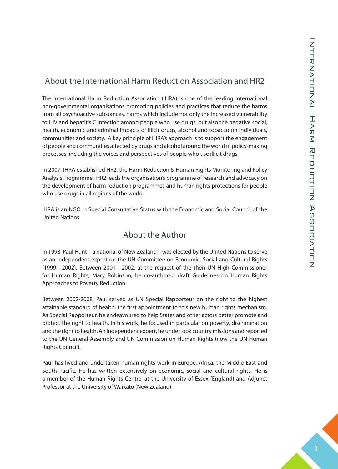#### About the International Harm Reduction Association and HR2

The International Harm Reduction Association (IHRA) is one of the leading international non-governmental organisations promoting policies and practices that reduce the harms from all psychoactive substances, harms which include not only the increased vulnerability to HIV and hepatitis C infection among people who use drugs, but also the negative social, health, economic and criminal impacts of illicit drugs, alcohol and tobacco on individuals, communities and society. A key principle of IHRA's approach is to support the engagement of people and communities affected by drugs and alcohol around the world in policy-making processes, including the voices and perspectives of people who use illicit drugs.

In 2007, IHRA established HR2, the Harm Reduction & Human Rights Monitoring and Policy Analysis Programme. HR2 leads the organisation's programme of research and advocacy on the development of harm reduction programmes and human rights protections for people who use drugs in all regions of the world.

IHRA is an NGO in Special Consultative Status with the Economic and Social Council of the United Nations.

#### About the Author

In 1998, Paul Hunt – a national of New Zealand – was elected by the United Nations to serve as an independent expert on the UN Committee on Economic, Social and Cultural Rights (1999—2002). Between 2001—2002, at the request of the then UN High Commissioner for Human Rights, Mary Robinson, he co-authored draft Guidelines on Human Rights Approaches to Poverty Reduction.

Between 2002-2008, Paul served as UN Special Rapporteur on the right to the highest attainable standard of health, the first appointment to this new human rights mechanism. As Special Rapporteur, he endeavoured to help States and other actors better promote and protect the right to health. In his work, he focused in particular on poverty, discrimination and the right to health. An independent expert, he undertook country missions and reported to the UN General Assembly and UN Commission on Human Rights (now the UN Human Rights Council).

Paul has lived and undertaken human rights work in Europe, Africa, the Middle East and South Pacific. He has written extensively on economic, social and cultural rights. He is a member of the Human Rights Centre, at the University of Essex (England) and Adjunct Professor at the University of Waikato (New Zealand).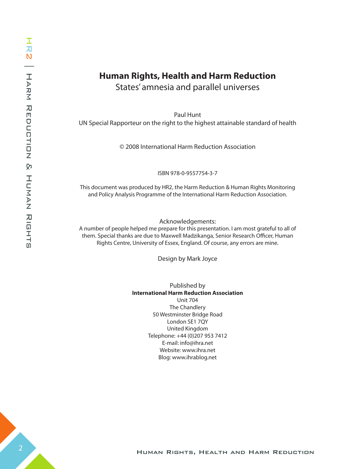## **Human Rights, Health and Harm Reduction**

States' amnesia and parallel universes

Paul Hunt UN Special Rapporteur on the right to the highest attainable standard of health

© 2008 International Harm Reduction Association

ISBN 978-0-9557754-3-7

This document was produced by HR2, the Harm Reduction & Human Rights Monitoring and Policy Analysis Programme of the International Harm Reduction Association.

Acknowledgements:

A number of people helped me prepare for this presentation. I am most grateful to all of them. Special thanks are due to Maxwell Madzikanga, Senior Research Officer, Human Rights Centre, University of Essex, England. Of course, any errors are mine.

Design by Mark Joyce

Published by **International Harm Reduction Association** Unit 704 The Chandlery 50 Westminster Bridge Road London SE1 7QY United Kingdom Telephone: +44 (0)207 953 7412 E-mail: info@ihra.net Website: www.ihra.net Blog: www.ihrablog.net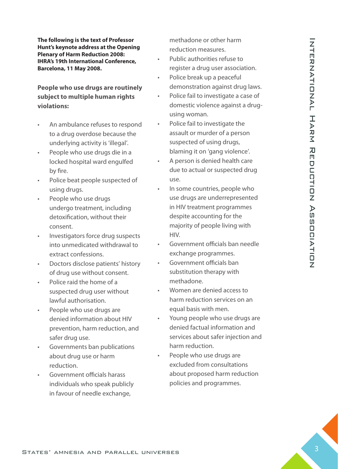**The following is the text of Professor Hunt's keynote address at the Opening Plenary of Harm Reduction 2008: IHRA's 19th International Conference, Barcelona, 11 May 2008.** 

**People who use drugs are routinely subject to multiple human rights violations:**

- An ambulance refuses to respond to a drug overdose because the underlying activity is 'illegal'.
- People who use drugs die in a locked hospital ward engulfed by fire.
- Police beat people suspected of using drugs.
- People who use drugs undergo treatment, including detoxification, without their consent.
- Investigators force drug suspects into unmedicated withdrawal to extract confessions.
- Doctors disclose patients' history of drug use without consent.
- Police raid the home of a suspected drug user without lawful authorisation.
- People who use drugs are denied information about HIV prevention, harm reduction, and safer drug use.
- Governments ban publications about drug use or harm reduction.
- Government officials harass individuals who speak publicly in favour of needle exchange,

methadone or other harm reduction measures.

- Public authorities refuse to register a drug user association.
- Police break up a peaceful demonstration against drug laws.
- Police fail to investigate a case of domestic violence against a drugusing woman.
- Police fail to investigate the assault or murder of a person suspected of using drugs, blaming it on 'gang violence'.
- A person is denied health care due to actual or suspected drug use.
- Human Rights, Health and Harm Reduction States and Parallel universes 31<br>
Health and Harm Reduction States amplitude to the control of the control of the control of the control of the control of the control of the control In some countries, people who use drugs are underrepresented in HIV treatment programmes despite accounting for the majority of people living with HIV.
	- Government officials ban needle exchange programmes.
	- Government officials ban substitution therapy with methadone.
	- Women are denied access to harm reduction services on an equal basis with men.
	- Young people who use drugs are denied factual information and services about safer injection and harm reduction.
	- People who use drugs are excluded from consultations about proposed harm reduction policies and programmes.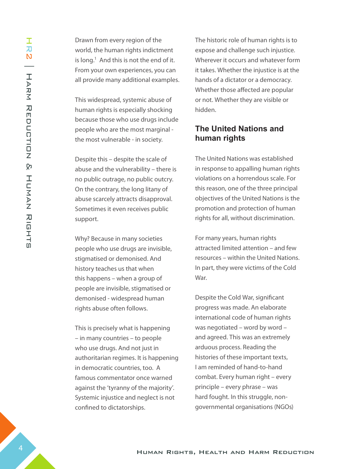Drawn from every region of the world, the human rights indictment is long.<sup>1</sup> And this is not the end of it. From your own experiences, you can all provide many additional examples.

This widespread, systemic abuse of human rights is especially shocking because those who use drugs include people who are the most marginal the most vulnerable - in society.

Despite this – despite the scale of abuse and the vulnerability – there is no public outrage, no public outcry. On the contrary, the long litany of abuse scarcely attracts disapproval. Sometimes it even receives public support.

Why? Because in many societies people who use drugs are invisible, stigmatised or demonised. And history teaches us that when this happens – when a group of people are invisible, stigmatised or demonised - widespread human rights abuse often follows.

This is precisely what is happening – in many countries – to people who use drugs. And not just in authoritarian regimes. It is happening in democratic countries, too. A famous commentator once warned against the 'tyranny of the majority'. Systemic injustice and neglect is not confined to dictatorships.

The historic role of human rights is to expose and challenge such injustice. Wherever it occurs and whatever form it takes. Whether the injustice is at the hands of a dictator or a democracy. Whether those affected are popular or not. Whether they are visible or hidden.

### **The United Nations and human rights**

The United Nations was established in response to appalling human rights violations on a horrendous scale. For this reason, one of the three principal objectives of the United Nations is the promotion and protection of human rights for all, without discrimination.

For many years, human rights attracted limited attention – and few resources – within the United Nations. In part, they were victims of the Cold War.

Despite the Cold War, significant progress was made. An elaborate international code of human rights was negotiated – word by word – and agreed. This was an extremely arduous process. Reading the histories of these important texts, I am reminded of hand-to-hand combat. Every human right – every principle – every phrase – was hard fought. In this struggle, nongovernmental organisations (NGOs)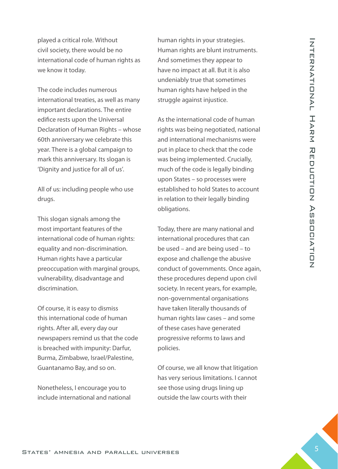played a critical role. Without civil society, there would be no international code of human rights as we know it today.

The code includes numerous international treaties, as well as many important declarations. The entire edifice rests upon the Universal Declaration of Human Rights – whose 60th anniversary we celebrate this year. There is a global campaign to mark this anniversary. Its slogan is 'Dignity and justice for all of us'.

All of us: including people who use drugs.

This slogan signals among the most important features of the international code of human rights: equality and non-discrimination. Human rights have a particular preoccupation with marginal groups, vulnerability, disadvantage and discrimination.

Of course, it is easy to dismiss this international code of human rights. After all, every day our newspapers remind us that the code is breached with impunity: Darfur, Burma, Zimbabwe, Israel/Palestine, Guantanamo Bay, and so on.

Nonetheless, I encourage you to include international and national human rights in your strategies. Human rights are blunt instruments. And sometimes they appear to have no impact at all. But it is also undeniably true that sometimes human rights have helped in the struggle against injustice.

As the international code of human rights was being negotiated, national and international mechanisms were put in place to check that the code was being implemented. Crucially, much of the code is legally binding upon States – so processes were established to hold States to account in relation to their legally binding obligations.

playes a circular one of the meaning properties in the transfer and the statestic international Code of Harman rights are known associates the states amelication of the meaning that the state of the meaning the time of th Today, there are many national and international procedures that can be used – and are being used – to expose and challenge the abusive conduct of governments. Once again, these procedures depend upon civil society. In recent years, for example, non-governmental organisations have taken literally thousands of human rights law cases – and some of these cases have generated progressive reforms to laws and policies.

Of course, we all know that litigation has very serious limitations. I cannot see those using drugs lining up outside the law courts with their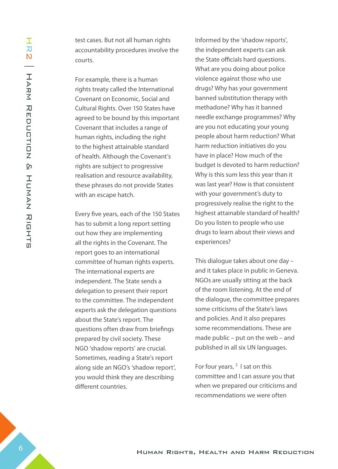test cases. But not all human rights accountability procedures involve the courts.

For example, there is a human rights treaty called the International Covenant on Economic, Social and Cultural Rights. Over 150 States have agreed to be bound by this important Covenant that includes a range of human rights, including the right to the highest attainable standard of health. Although the Covenant's rights are subject to progressive realisation and resource availability, these phrases do not provide States with an escape hatch.

Every five years, each of the 150 States has to submit a long report setting out how they are implementing all the rights in the Covenant. The report goes to an international committee of human rights experts. The international experts are independent. The State sends a delegation to present their report to the committee. The independent experts ask the delegation questions about the State's report. The questions often draw from briefings prepared by civil society. These NGO 'shadow reports' are crucial. Sometimes, reading a State's report along side an NGO's 'shadow report', you would think they are describing different countries.

Informed by the 'shadow reports', the independent experts can ask the State officials hard questions. What are you doing about police violence against those who use drugs? Why has your government banned substitution therapy with methadone? Why has it banned needle exchange programmes? Why are you not educating your young people about harm reduction? What harm reduction initiatives do you have in place? How much of the budget is devoted to harm reduction? Why is this sum less this year than it was last year? How is that consistent with your government's duty to progressively realise the right to the highest attainable standard of health? Do you listen to people who use drugs to learn about their views and experiences?

This dialogue takes about one day – and it takes place in public in Geneva. NGOs are usually sitting at the back of the room listening. At the end of the dialogue, the committee prepares some criticisms of the State's laws and policies. And it also prepares some recommendations. These are made public – put on the web – and published in all six UN languages.

For four years,  $2$  I sat on this committee and I can assure you that when we prepared our criticisms and recommendations we were often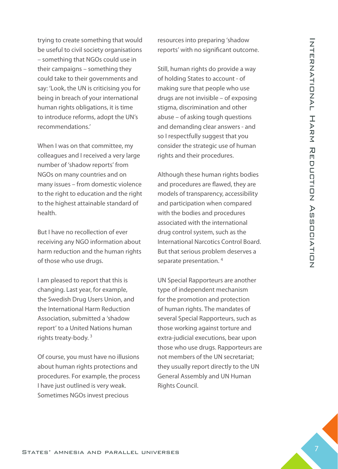trying to create something that would be useful to civil society organisations – something that NGOs could use in their campaigns – something they could take to their governments and say: 'Look, the UN is criticising you for being in breach of your international human rights obligations, it is time to introduce reforms, adopt the UN's recommendations.'

When I was on that committee, my colleagues and I received a very large number of 'shadow reports' from NGOs on many countries and on many issues – from domestic violence to the right to education and the right to the highest attainable standard of health.

But I have no recollection of ever receiving any NGO information about harm reduction and the human rights of those who use drugs.

I am pleased to report that this is changing. Last year, for example, the Swedish Drug Users Union, and the International Harm Reduction Association, submitted a 'shadow report' to a United Nations human rights treaty-body. 3

Of course, you must have no illusions about human rights protections and procedures. For example, the process I have just outlined is very weak. Sometimes NGOs invest precious

resources into preparing 'shadow reports' with no significant outcome.

Still, human rights do provide a way of holding States to account - of making sure that people who use drugs are not invisible – of exposing stigma, discrimination and other abuse – of asking tough questions and demanding clear answers - and so I respectfully suggest that you consider the strategic use of human rights and their procedures.

Although these human rights bodies and procedures are flawed, they are models of transparency, accessibility and participation when compared with the bodies and procedures associated with the international drug control system, such as the International Narcotics Control Board. But that serious problem deserves a separate presentation.<sup>4</sup>

by the three total control of the three terms in the total of the three terms in the terms of the terms of the states in the terms of the statest amplitude to the statest amplitude of the statest amplitude in the statest UN Special Rapporteurs are another type of independent mechanism for the promotion and protection of human rights. The mandates of several Special Rapporteurs, such as those working against torture and extra-judicial executions, bear upon those who use drugs. Rapporteurs are not members of the UN secretariat; they usually report directly to the UN General Assembly and UN Human Rights Council.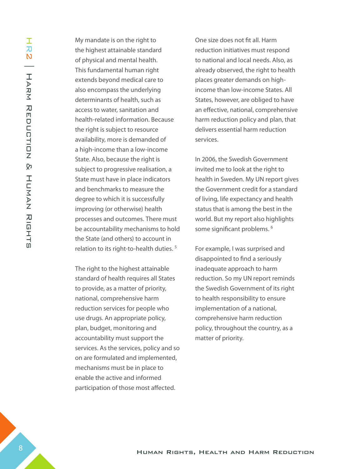My mandate is on the right to the highest attainable standard of physical and mental health. This fundamental human right extends beyond medical care to also encompass the underlying determinants of health, such as access to water, sanitation and health-related information. Because the right is subject to resource availability, more is demanded of a high-income than a low-income State. Also, because the right is subject to progressive realisation, a State must have in place indicators and benchmarks to measure the degree to which it is successfully improving (or otherwise) health processes and outcomes. There must be accountability mechanisms to hold the State (and others) to account in relation to its right-to-health duties. 5

The right to the highest attainable standard of health requires all States to provide, as a matter of priority, national, comprehensive harm reduction services for people who use drugs. An appropriate policy, plan, budget, monitoring and accountability must support the services. As the services, policy and so on are formulated and implemented, mechanisms must be in place to enable the active and informed participation of those most affected.

One size does not fit all. Harm reduction initiatives must respond to national and local needs. Also, as already observed, the right to health places greater demands on highincome than low-income States. All States, however, are obliged to have an effective, national, comprehensive harm reduction policy and plan, that delivers essential harm reduction services.

In 2006, the Swedish Government invited me to look at the right to health in Sweden. My UN report gives the Government credit for a standard of living, life expectancy and health status that is among the best in the world. But my report also highlights some significant problems.<sup>6</sup>

For example, I was surprised and disappointed to find a seriously inadequate approach to harm reduction. So my UN report reminds the Swedish Government of its right to health responsibility to ensure implementation of a national, comprehensive harm reduction policy, throughout the country, as a matter of priority.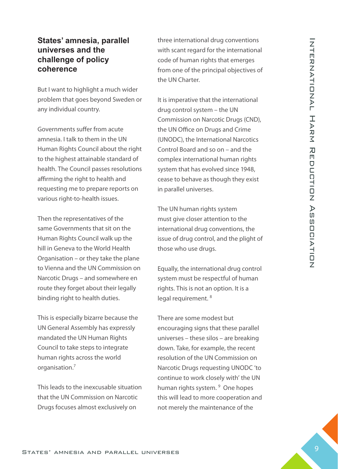#### **States' amnesia, parallel universes and the challenge of policy coherence**

But I want to highlight a much wider problem that goes beyond Sweden or any individual country.

Governments suffer from acute amnesia. I talk to them in the UN Human Rights Council about the right to the highest attainable standard of health. The Council passes resolutions affirming the right to health and requesting me to prepare reports on various right-to-health issues.

Then the representatives of the same Governments that sit on the Human Rights Council walk up the hill in Geneva to the World Health Organisation – or they take the plane to Vienna and the UN Commission on Narcotic Drugs – and somewhere en route they forget about their legally binding right to health duties.

This is especially bizarre because the UN General Assembly has expressly mandated the UN Human Rights Council to take steps to integrate human rights across the world organisation.7

This leads to the inexcusable situation that the UN Commission on Narcotic Drugs focuses almost exclusively on

three international drug conventions with scant regard for the international code of human rights that emerges from one of the principal objectives of the UN Charter.

**States' ammediation** and the the with canceled one considerably consider the the expectation States' amplitude of production States' amplitude of production States' amplitude of production States' amplitude of production It is imperative that the international drug control system – the UN Commission on Narcotic Drugs (CND), the UN Office on Drugs and Crime (UNODC), the International Narcotics Control Board and so on – and the complex international human rights system that has evolved since 1948, cease to behave as though they exist in parallel universes.

The UN human rights system must give closer attention to the international drug conventions, the issue of drug control, and the plight of those who use drugs.

Equally, the international drug control system must be respectful of human rights. This is not an option. It is a legal requirement.<sup>8</sup>

There are some modest but encouraging signs that these parallel universes – these silos – are breaking down. Take, for example, the recent resolution of the UN Commission on Narcotic Drugs requesting UNODC 'to continue to work closely with' the UN human rights system.<sup>9</sup> One hopes this will lead to more cooperation and not merely the maintenance of the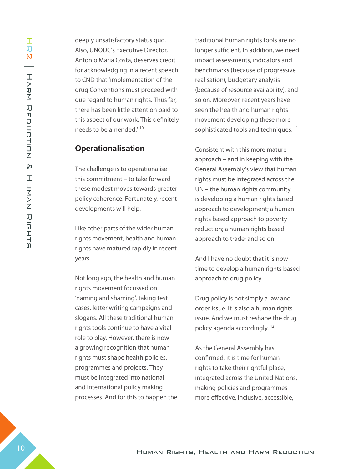deeply unsatisfactory status quo. Also, UNODC's Executive Director, Antonio Maria Costa, deserves credit for acknowledging in a recent speech to CND that 'implementation of the drug Conventions must proceed with due regard to human rights. Thus far, there has been little attention paid to this aspect of our work. This definitely needs to be amended.' 10

#### **Operationalisation**

The challenge is to operationalise this commitment – to take forward these modest moves towards greater policy coherence. Fortunately, recent developments will help.

Like other parts of the wider human rights movement, health and human rights have matured rapidly in recent years.

Not long ago, the health and human rights movement focussed on 'naming and shaming', taking test cases, letter writing campaigns and slogans. All these traditional human rights tools continue to have a vital role to play. However, there is now a growing recognition that human rights must shape health policies, programmes and projects. They must be integrated into national and international policy making processes. And for this to happen the traditional human rights tools are no longer sufficient. In addition, we need impact assessments, indicators and benchmarks (because of progressive realisation), budgetary analysis (because of resource availability), and so on. Moreover, recent years have seen the health and human rights movement developing these more sophisticated tools and techniques.<sup>11</sup>

Consistent with this more mature approach – and in keeping with the General Assembly's view that human rights must be integrated across the UN – the human rights community is developing a human rights based approach to development; a human rights based approach to poverty reduction; a human rights based approach to trade; and so on.

And I have no doubt that it is now time to develop a human rights based approach to drug policy.

Drug policy is not simply a law and order issue. It is also a human rights issue. And we must reshape the drug policy agenda accordingly. 12

As the General Assembly has confirmed, it is time for human rights to take their rightful place, integrated across the United Nations, making policies and programmes more effective, inclusive, accessible,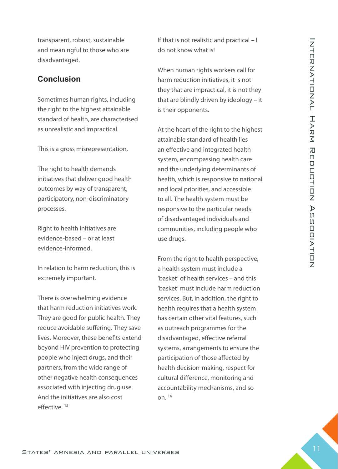transparent, robust, sustainable and meaningful to those who are disadvantaged.

#### **Conclusion**

Sometimes human rights, including the right to the highest attainable standard of health, are characterised as unrealistic and impractical.

This is a gross misrepresentation.

The right to health demands initiatives that deliver good health outcomes by way of transparent, participatory, non-discriminatory processes.

Right to health initiatives are evidence-based – or at least evidence-informed.

In relation to harm reduction, this is extremely important.

There is overwhelming evidence that harm reduction initiatives work. They are good for public health. They reduce avoidable suffering. They save lives. Moreover, these benefits extend beyond HIV prevention to protecting people who inject drugs, and their partners, from the wide range of other negative health consequences associated with injecting drug use. And the initiatives are also cost effective. 13

If that is not realistic and practical – I do not know what is!

When human rights workers call for harm reduction initiatives, it is not they that are impractical, it is not they that are blindly driven by ideology – it is their opponents.

At the heart of the right to the highest attainable standard of health lies an effective and integrated health system, encompassing health care and the underlying determinants of health, which is responsive to national and local priorities, and accessible to all. The health system must be responsive to the particular needs of disadvantaged individuals and communities, including people who use drugs.

Human Rights, Health and Harm Reduction States' The Court Court and The Court and Harm Reduction States 11 Internation Concerned the material of the state of the state of the state of the state of the state of the state From the right to health perspective, a health system must include a 'basket' of health services – and this 'basket' must include harm reduction services. But, in addition, the right to health requires that a health system has certain other vital features, such as outreach programmes for the disadvantaged, effective referral systems, arrangements to ensure the participation of those affected by health decision-making, respect for cultural difference, monitoring and accountability mechanisms, and so on. 14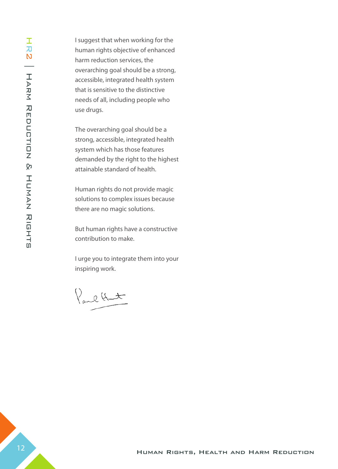I suggest that when working for the human rights objective of enhanced harm reduction services, the overarching goal should be a strong, accessible, integrated health system that is sensitive to the distinctive needs of all, including people who use drugs.

The overarching goal should be a strong, accessible, integrated health system which has those features demanded by the right to the highest attainable standard of health.

Human rights do not provide magic solutions to complex issues because there are no magic solutions.

But human rights have a constructive contribution to make.

I urge you to integrate them into your inspiring work.

Paul Hunt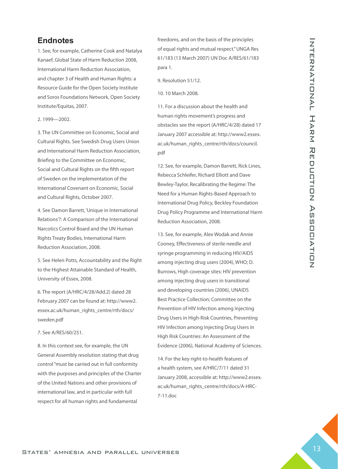#### **Endnotes**

1. See, for example, Catherine Cook and Natalya Kanaef, Global State of Harm Reduction 2008, International Harm Reduction Association, and chapter 3 of Health and Human Rights: a Resource Guide for the Open Society Institute and Soros Foundations Network, Open Society Institute/Equitas, 2007.

2. 1999—2002.

3. The UN Committee on Economic, Social and Cultural Rights. See Swedish Drug Users Union and International Harm Reduction Association, Briefing to the Committee on Economic, Social and Cultural Rights on the fifth report of Sweden on the implementation of the International Covenant on Economic, Social and Cultural Rights, October 2007.

4. See Damon Barrett, 'Unique in International Relations'?: A Comparison of the International Narcotics Control Board and the UN Human Rights Treaty Bodies, International Harm Reduction Association, 2008.

5. See Helen Potts, Accountability and the Right to the Highest Attainable Standard of Health, University of Essex, 2008.

6. The report (A/HRC/4/28/Add.2) dated 28 February 2007 can be found at: http://www2. essex.ac.uk/human\_rights\_centre/rth/docs/ sweden.pdf

#### 7. See A/RES/60/251.

8. In this context see, for example, the UN General Assembly resolution stating that drug control "must be carried out in full conformity with the purposes and principles of the Charter of the United Nations and other provisions of international law, and in particular with full respect for all human rights and fundamental

freedoms, and on the basis of the principles of equal rights and mutual respect." UNGA Res 61/183 (13 March 2007) UN Doc A/RES/61/183 para 1.

9. Resolution 51/12.

10. 10 March 2008.

11. For a discussion about the health and human rights movement's progress and obstacles see the report (A/HRC/4/28) dated 17 January 2007 accessible at: http://www2.essex. ac.uk/human\_rights\_centre/rth/docs/council. pdf

12. See, for example, Damon Barrett, Rick Lines, Rebecca Schleifer, Richard Elliott and Dave Bewley-Taylor, Recalibrating the Regime: The Need for a Human Rights-Based Approach to International Drug Policy, Beckley Foundation Drug Policy Programme and International Harm Reduction Association, 2008.

**Entire and the method of the statest and parallel universes 13 International Harm Reduction States and Parallel universes 13 International Harm Reduction States 13 International Harm Reduction States 13 International Har** 13. See, for example, Alex Wodak and Annie Cooney, Effectiveness of sterile needle and syringe programming in reducing HIV/AIDS among injecting drug users (2004), WHO; D. Burrows, High coverage sites: HIV prevention among injecting drug users in transitional and developing countries (2006), UNAIDS Best Practice Collection; Committee on the Prevention of HIV Infection among Injecting Drug Users in High-Risk Countries, Preventing HIV Infection among Injecting Drug Users in High Risk Countries: An Assessment of the Evidence (2006), National Academy of Sciences.

14. For the key right-to-health features of a health system, see A/HRC/7/11 dated 31 January 2008, accessible at: http://www2.essex. ac.uk/human\_rights\_centre/rth/docs/A-HRC-7-11.doc